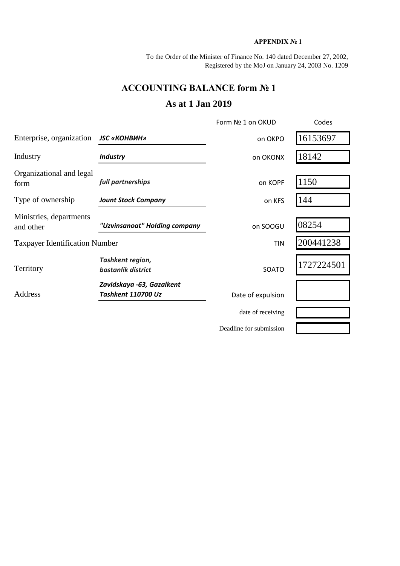## **APPENDIX № 1**

To the Order of the Minister of Finance No. 140 dated December 27, 2002, Registered by the MoJ on January 24, 2003 No. 1209

## **ACCOUNTING BALANCE form № 1**

## **As at 1 Jan 2019**

|                                                            |                                        | Form Nº 1 on OKUD       | Codes      |
|------------------------------------------------------------|----------------------------------------|-------------------------|------------|
| Enterprise, organization                                   | <b>JSC «КОНВИН»</b>                    | on OKPO                 | 16153697   |
| Industry                                                   | <b>Industry</b>                        | on OKONX                | 18142      |
| Organizational and legal<br>form                           | full partnerships                      | on KOPF                 | 1150       |
| Type of ownership                                          | <b>Jount Stock Company</b>             | on KFS                  | 144        |
| Ministries, departments<br>and other                       | "Uzvinsanoat" Holding company          | on SOOGU                | 08254      |
| <b>Taxpayer Identification Number</b>                      |                                        | TIN                     | 200441238  |
| Territory                                                  | Tashkent region,<br>bostanlik district | SOATO                   | 1727224501 |
| Zavidskaya -63, Gazalkent<br>Address<br>Tashkent 110700 Uz |                                        | Date of expulsion       |            |
|                                                            |                                        | date of receiving       |            |
|                                                            |                                        | Deadline for submission |            |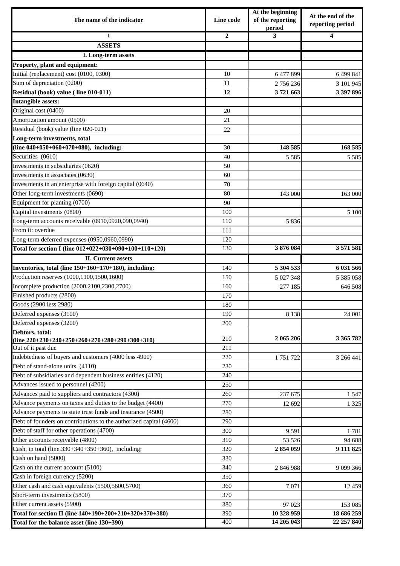| The name of the indicator                                          | Line code      | At the beginning<br>of the reporting<br>period | At the end of the<br>reporting period |  |
|--------------------------------------------------------------------|----------------|------------------------------------------------|---------------------------------------|--|
| $\mathbf{1}$                                                       | $\overline{2}$ | 3                                              | 4                                     |  |
| <b>ASSETS</b>                                                      |                |                                                |                                       |  |
| I. Long-term assets                                                |                |                                                |                                       |  |
| Property, plant and equipment:                                     |                |                                                |                                       |  |
| Initial (replacement) cost (0100, 0300)                            | 10             | 6 477 899                                      | 6 499 841                             |  |
| Sum of depreciation (0200)                                         | 11             | 2756236                                        | 3 101 945                             |  |
| Residual (book) value (line 010-011)                               | 12             | 3721663                                        | 3 397 896                             |  |
| <b>Intangible assets:</b>                                          |                |                                                |                                       |  |
| Original cost (0400)                                               | 20             |                                                |                                       |  |
| Amortization amount (0500)                                         | 21             |                                                |                                       |  |
| Residual (book) value (line 020-021)                               | 22             |                                                |                                       |  |
| Long-term investments, total                                       |                |                                                |                                       |  |
| (line 040+050+060+070+080), including:                             | 30             | 148 585                                        | 168 585                               |  |
| Securities (0610)                                                  | 40             | 5 5 8 5                                        | 5 5 8 5                               |  |
| Investments in subsidiaries (0620)                                 | 50             |                                                |                                       |  |
| Investments in associates (0630)                                   | 60             |                                                |                                       |  |
| Investments in an enterprise with foreign capital (0640)           | 70             |                                                |                                       |  |
| Other long-term investments (0690)                                 | 80             | 143 000                                        | 163 000                               |  |
| Equipment for planting (0700)                                      | 90             |                                                |                                       |  |
| Capital investments (0800)                                         | 100            |                                                | 5 100                                 |  |
| Long-term accounts receivable (0910,0920,090,0940)                 | 110            | 5 8 3 6                                        |                                       |  |
| From it: overdue                                                   | 111            |                                                |                                       |  |
| Long-term deferred expenses (0950,0960,0990)                       | 120            |                                                |                                       |  |
| Total for section I (line 012+022+030+090+100+110+120)             | 130            | 3876084                                        | 3 571 581                             |  |
| <b>II.</b> Current assets                                          |                |                                                |                                       |  |
| Inventories, total (line 150+160+170+180), including:              | 140            | 5 304 533                                      | 6 031 566                             |  |
| Production reserves (1000,1100,1500,1600)                          | 150            | 5 027 348                                      | 5 385 058                             |  |
| Incomplete production (2000,2100,2300,2700)                        | 160            | 277 185                                        | 646 508                               |  |
| Finished products (2800)                                           | 170            |                                                |                                       |  |
| Goods (2900 less 2980)                                             | 180            |                                                |                                       |  |
| Deferred expenses (3100)                                           | 190            | 8 1 3 8                                        | 24 001                                |  |
| Deferred expenses (3200)                                           | 200            |                                                |                                       |  |
| Debtors, total:                                                    |                |                                                |                                       |  |
| (line $220+230+240+250+260+270+280+290+300+310$ )                  | 210            | 2 065 206                                      | 3 365 782                             |  |
| Out of it past due                                                 | 211            |                                                |                                       |  |
| Indebtedness of buyers and customers (4000 less 4900)              | 220            | 1751722                                        | 3 266 441                             |  |
| Debt of stand-alone units (4110)                                   | 230            |                                                |                                       |  |
| Debt of subsidiaries and dependent business entities (4120)        | 240            |                                                |                                       |  |
| Advances issued to personnel $(4200)$                              | 250            |                                                |                                       |  |
| Advances paid to suppliers and contractors (4300)                  | 260            | 237 675                                        | 1 5 4 7                               |  |
| Advance payments on taxes and duties to the budget (4400)          | 270            | 12 692                                         | 1 3 2 5                               |  |
| Advance payments to state trust funds and insurance (4500)         | 280            |                                                |                                       |  |
| Debt of founders on contributions to the authorized capital (4600) | 290            |                                                |                                       |  |
| Debt of staff for other operations (4700)                          | 300            | 9 5 91                                         | 1781                                  |  |
| Other accounts receivable (4800)                                   | 310            | 53 526                                         | 94 688                                |  |
| Cash, in total (line.330+340+350+360), including:                  | 320            | 2854059                                        | 9 111 825                             |  |
| Cash on hand (5000)                                                | 330            |                                                |                                       |  |
| Cash on the current account (5100)                                 | 340            | 2 846 988                                      | 9 0 9 3 6 6                           |  |
| Cash in foreign currency (5200)                                    | 350            |                                                |                                       |  |
| Other cash and cash equivalents (5500,5600,5700)                   | 360            | 7 0 7 1                                        | 12 459                                |  |
| Short-term investments (5800)                                      | 370            |                                                |                                       |  |
| Other current assets (5900)                                        | 380            | 97 023                                         | 153 085                               |  |
| Total for section II (line 140+190+200+210+320+370+380)            | 390            | 10 328 959                                     | 18 686 259                            |  |
| Total for the balance asset (line 130+390)                         | 400            | 14 205 043                                     | 22 257 840                            |  |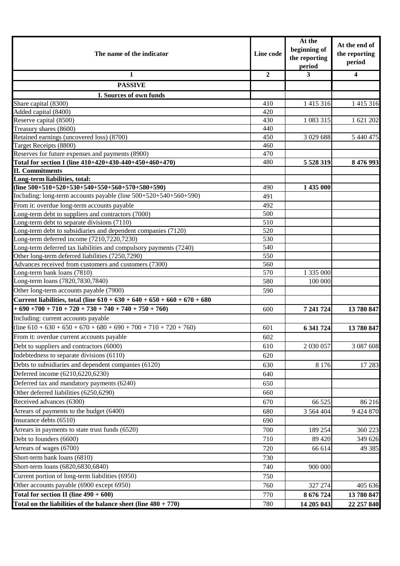| The name of the indicator                                                            |                | At the<br>beginning of<br>the reporting<br>period | At the end of<br>the reporting<br>period |
|--------------------------------------------------------------------------------------|----------------|---------------------------------------------------|------------------------------------------|
| 1                                                                                    | $\overline{2}$ | 3                                                 | $\overline{\mathbf{4}}$                  |
| <b>PASSIVE</b>                                                                       |                |                                                   |                                          |
| I. Sources of own funds                                                              |                |                                                   |                                          |
| Share capital (8300)                                                                 | 410            | 1 4 1 5 3 1 6                                     | 1 415 316                                |
| Added capital (8400)                                                                 | 420            |                                                   |                                          |
| Reserve capital (8500)                                                               | 430            | 1 083 315                                         | 1 621 202                                |
| Treasury shares (8600)                                                               | 440            |                                                   |                                          |
| Retained earnings (uncovered loss) (8700)                                            | 450            | 3 0 29 6 88                                       | 5 440 475                                |
| Target Receipts (8800)                                                               | 460            |                                                   |                                          |
| Reserves for future expenses and payments (8900)                                     | 470            |                                                   |                                          |
| Total for section I (line 410+420+430-440+450+460+470)                               | 480            | 5 5 28 3 19                                       | 8 476 993                                |
| <b>II. Commitments</b>                                                               |                |                                                   |                                          |
| Long-term liabilities, total:                                                        |                |                                                   |                                          |
| (line $500+510+520+530+540+550+560+570+580+590$ )                                    | 490            | 1 435 000                                         |                                          |
| Including: long-term accounts payable (line 500+520+540+560+590)                     | 491            |                                                   |                                          |
| From it: overdue long-term accounts payable                                          | 492            |                                                   |                                          |
| Long-term debt to suppliers and contractors (7000)                                   | 500            |                                                   |                                          |
| Long-term debt to separate divisions (7110)                                          | 510            |                                                   |                                          |
| Long-term debt to subsidiaries and dependent companies (7120)                        | 520            |                                                   |                                          |
| Long-term deferred income (7210,7220,7230)                                           | 530            |                                                   |                                          |
| Long-term deferred tax liabilities and compulsory payments (7240)                    | 540            |                                                   |                                          |
| Other long-term deferred liabilities (7250,7290)                                     | 550            |                                                   |                                          |
| Advances received from customers and customers (7300)<br>Long-term bank loans (7810) | 560<br>570     | 1 335 000                                         |                                          |
| Long-term loans (7820,7830,7840)                                                     | 580            | 100 000                                           |                                          |
| Other long-term accounts payable (7900)                                              | 590            |                                                   |                                          |
| Current liabilities, total (line $610 + 630 + 640 + 650 + 660 + 670 + 680$           |                |                                                   |                                          |
| $+690+700+710+720+730+740+740+750+760$                                               | 600            | 7 241 724                                         | 13 780 847                               |
| Including: current accounts payable                                                  |                |                                                   |                                          |
| $(line 610 + 630 + 650 + 670 + 680 + 690 + 700 + 710 + 720 + 760)$                   |                | 6 341 724                                         | 13 780 847                               |
|                                                                                      | 601            |                                                   |                                          |
| From it: overdue current accounts payable                                            | 602            |                                                   |                                          |
| Debt to suppliers and contractors (6000)                                             | 610            | 2 030 057                                         | 3 087 608                                |
| Indebtedness to separate divisions (6110)                                            | 620            |                                                   |                                          |
| Debts to subsidiaries and dependent companies (6120)                                 | 630            | 8 1 7 6                                           | 17 28 3                                  |
| Deferred income (6210,6220,6230)                                                     | 640            |                                                   |                                          |
| Deferred tax and mandatory payments (6240)                                           | 650            |                                                   |                                          |
| Other deferred liabilities (6250,6290)                                               | 660            |                                                   |                                          |
| Received advances (6300)                                                             | 670            | 66 525                                            | 86 216                                   |
| Arrears of payments to the budget (6400)                                             | 680            | 3 5 6 4 4 0 4                                     | 9 424 870                                |
| Insurance debts (6510)                                                               | 690            |                                                   |                                          |
| Arrears in payments to state trust funds (6520)                                      | 700            | 189 254                                           | 360 223                                  |
| Debt to founders (6600)                                                              | 710            | 89 4 20                                           | 349 626                                  |
| Arrears of wages (6700)                                                              | 720            | 66 614                                            | 49 3 8 5                                 |
| Short-term bank loans (6810)                                                         | 730            |                                                   |                                          |
| Short-term loans (6820,6830,6840)                                                    | 740            | 900 000                                           |                                          |
| Current portion of long-term liabilities (6950)                                      | 750            |                                                   |                                          |
| Other accounts payable (6900 except 6950)                                            | 760            | 327 274                                           | 405 636                                  |
| Total for section II (line $490 + 600$ )                                             | 770            | 8 676 724                                         | 13 780 847                               |
| Total on the liabilities of the balance sheet (line $480 + 770$ )                    |                | 14 205 043                                        | 22 257 840                               |